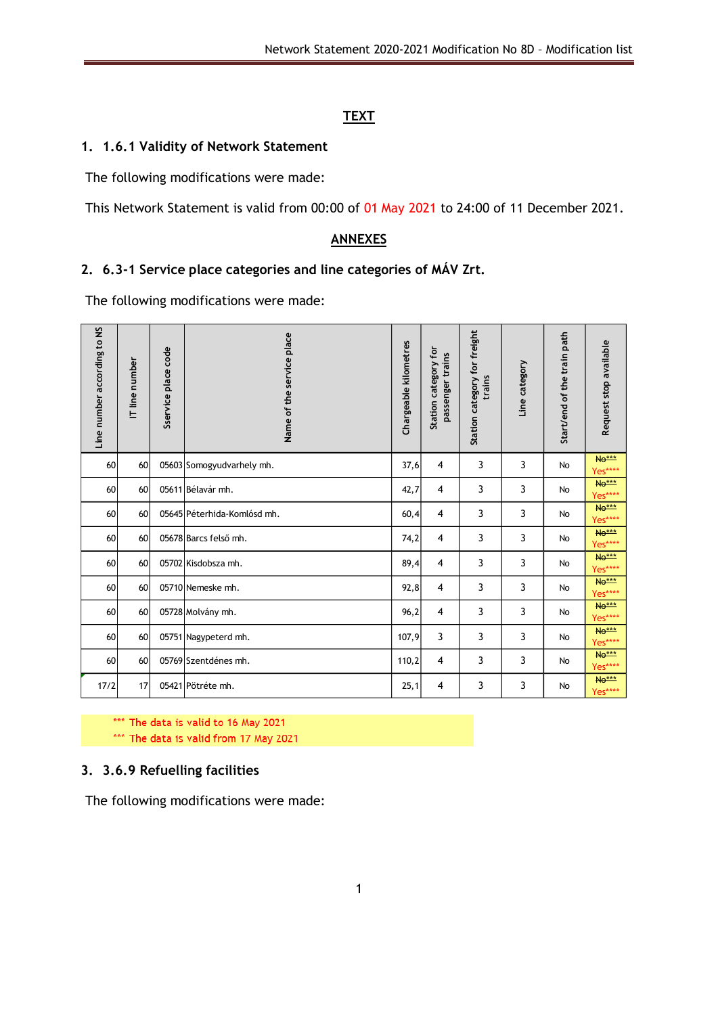## **TEXT**

#### **1. 1.6.1 Validity of Network Statement**

The following modifications were made:

This Network Statement is valid from 00:00 of 01 May 2021 to 24:00 of 11 December 2021.

### **ANNEXES**

## **2. 6.3-1 Service place categories and line categories of MÁV Zrt.**

The following modifications were made:

| Line number according to NS | IT line number | Sservice place code | Name of the service place   | Chargeable kilometres | Station category for<br>passenger trains | Station category for freight<br>trains | Line category | Start/end of the train path | Request stop available  |
|-----------------------------|----------------|---------------------|-----------------------------|-----------------------|------------------------------------------|----------------------------------------|---------------|-----------------------------|-------------------------|
| 60                          | 60             |                     | 05603 Somogyudvarhely mh.   | 37,6                  | $\overline{4}$                           | 3                                      | 3             | <b>No</b>                   | <b>No***</b><br>Yes**** |
| 60                          | 60             |                     | 05611 Bélavár mh.           | 42,7                  | $\overline{4}$                           | 3                                      | 3             | No                          | No***<br>Yes****        |
| 60                          | 60             |                     | 05645 Péterhida-Komlósd mh. | 60,4                  | $\overline{4}$                           | 3                                      | 3             | No                          | <b>No***</b><br>Yes**** |
| 60                          | 60             |                     | 05678 Barcs felső mh.       | 74,2                  | $\overline{\mathbf{4}}$                  | 3                                      | 3             | No                          | <b>No***</b><br>Yes**** |
| 60                          | 60             |                     | 05702 Kisdobsza mh.         |                       | $\overline{4}$                           | 3                                      | 3             | No                          | <b>No***</b><br>Yes**** |
| 60                          | 60             |                     | 05710 Nemeske mh.           | 92,8                  | $\overline{4}$                           | 3                                      | 3             | No                          | <b>No***</b><br>Yes**** |
| 60                          | 60             |                     | 05728 Molvány mh.           |                       | 4                                        | 3                                      | 3             | No                          | <b>No***</b><br>Yes**** |
| 60                          | 60             |                     | 05751 Nagypeterd mh.        |                       | 3<br>107,9                               | 3                                      | 3             | <b>No</b>                   | <b>No***</b><br>Yes**** |
| 60                          | 60             |                     | 05769 Szentdénes mh.        |                       | 4                                        | 3                                      | 3             | No                          | <b>No***</b><br>Yes**** |
| 17/2                        | 17             |                     | 05421 Pötréte mh.           |                       | 4                                        | 3                                      | 3             | <b>No</b>                   | <b>No***</b><br>Yes**** |

\*\*\* The data is valid to 16 May 2021

\*\*\* The data is valid from 17 May 2021

#### **3. 3.6.9 Refuelling facilities**

The following modifications were made: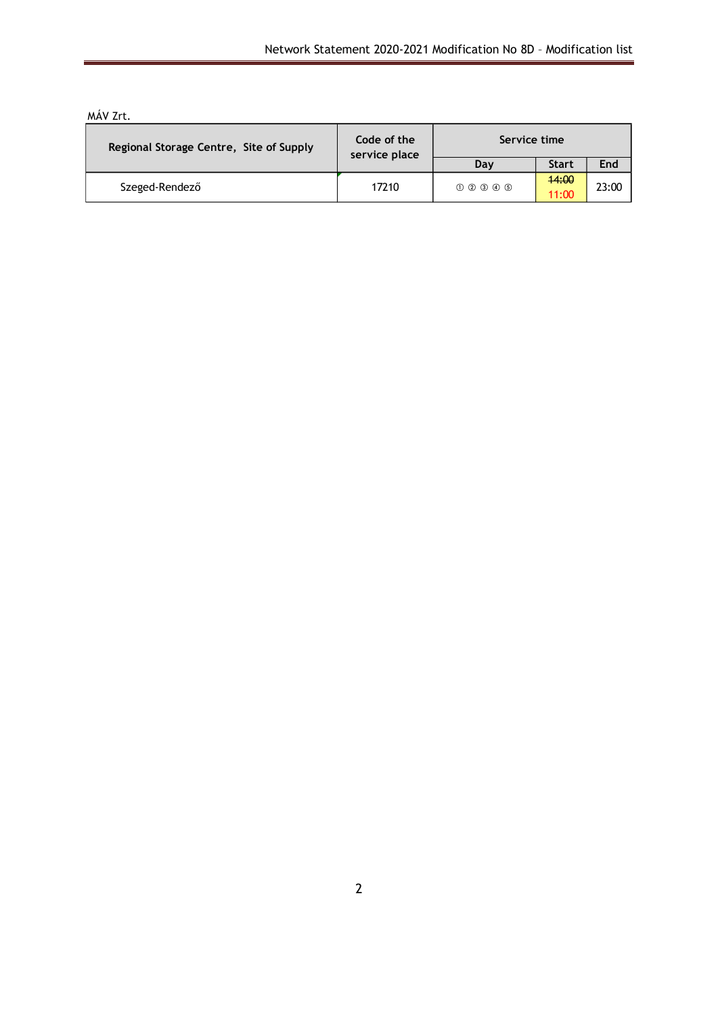| Regional Storage Centre, Site of Supply | Code of the<br>service place | Service time |                |       |  |
|-----------------------------------------|------------------------------|--------------|----------------|-------|--|
|                                         |                              | Day          | <b>Start</b>   | End   |  |
| Szeged-Rendező                          | 17210                        | 000000       | 44:00<br>11:00 | 23:00 |  |

### MÁV Zrt.